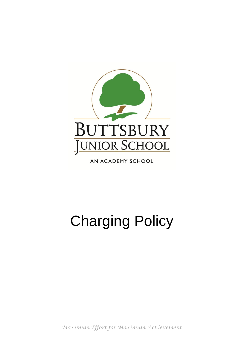

AN ACADEMY SCHOOL

# Charging Policy

*Maximum Effort for Maximum Achievement*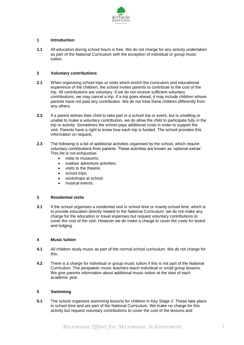

# **1 Introduction**

**1.1** All education during school hours is free. We do not charge for any activity undertaken as part of the National Curriculum with the exception of individual or group music tuition.

## **2 Voluntary contributions**

- **2.1** When organising school trips or visits which enrich the curriculum and educational experience of the children, the school invites parents to contribute to the cost of the trip. All contributions are voluntary. If we do not receive sufficient voluntary contributions, we may cancel a trip. If a trip goes ahead, it may include children whose parents have not paid any contribution. We do not treat these children differently from any others.
- **2.2** If a parent wishes their child to take part in a school trip or event, but is unwilling or unable to make a voluntary contribution, we do allow the child to participate fully in the trip or activity. Sometimes the school pays additional costs in order to support the visit. Parents have a right to know how each trip is funded. The school provides this information on request.
- **2.3** The following is a list of additional activities organised by the school, which require voluntary contributions from parents. These activities are known as 'optional extras'. This list is not exhaustive:
	- visits to museums;
	- outdoor adventure activities;
	- visits to the theatre;
	- school trips:
	- workshops at school;
	- musical events.

### **3 Residential visits**

**3.1** If the school organises a residential visit in school time or mainly school time, which is to provide education directly related to the National Curriculum, we do not make any charge for the education or travel expenses but request voluntary contributions to cover the cost of the visit. However we do make a charge to cover the costs for board and lodging.

#### **4 Music tuition**

- **4.1** All children study music as part of the normal school curriculum. We do not charge for this.
- **4.2** There is a charge for individual or group music tuition if this is not part of the National Curriculum. The peripatetic music teachers teach individual or small group lessons. We give parents information about additional music tuition at the start of each academic year.

### **5 Swimming**

**5.1** The school organises swimming lessons for children in Key Stage 2. These take place in school time and are part of the National Curriculum. We make no charge for this activity but request voluntary contributions to cover the cost of the lessons and